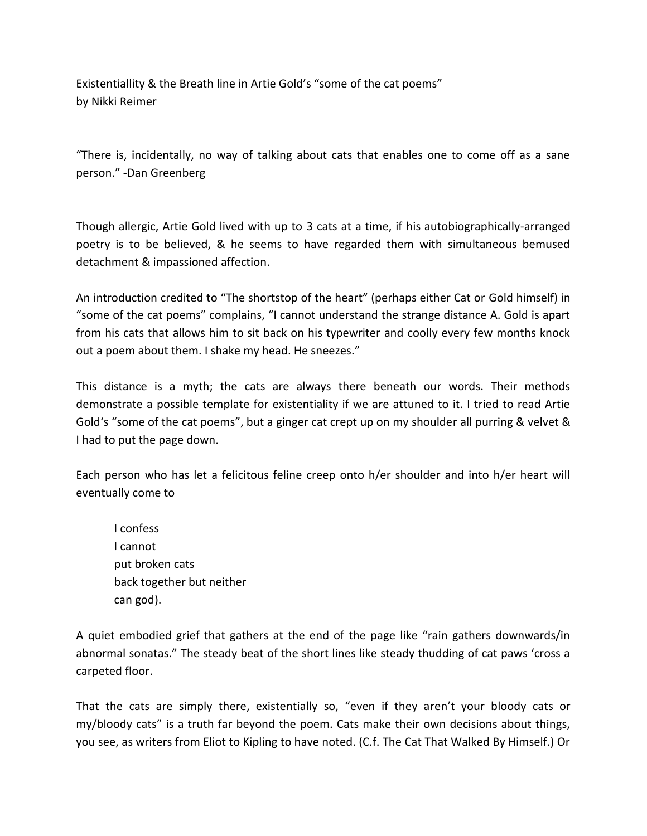Existentiallity & the Breath line in Artie Gold's "some of the cat poems" by Nikki Reimer

"There is, incidentally, no way of talking about cats that enables one to come off as a sane person." -Dan Greenberg

Though allergic, Artie Gold lived with up to 3 cats at a time, if his autobiographically-arranged poetry is to be believed, & he seems to have regarded them with simultaneous bemused detachment & impassioned affection.

An introduction credited to "The shortstop of the heart" (perhaps either Cat or Gold himself) in "some of the cat poems" complains, "I cannot understand the strange distance A. Gold is apart from his cats that allows him to sit back on his typewriter and coolly every few months knock out a poem about them. I shake my head. He sneezes."

This distance is a myth; the cats are always there beneath our words. Their methods demonstrate a possible template for existentiality if we are attuned to it. I tried to read Artie Gold's "some of the cat poems", but a ginger cat crept up on my shoulder all purring & velvet & I had to put the page down.

Each person who has let a felicitous feline creep onto h/er shoulder and into h/er heart will eventually come to

I confess I cannot put broken cats back together but neither can god).

A quiet embodied grief that gathers at the end of the page like "rain gathers downwards/in abnormal sonatas." The steady beat of the short lines like steady thudding of cat paws 'cross a carpeted floor.

That the cats are simply there, existentially so, "even if they aren't your bloody cats or my/bloody cats" is a truth far beyond the poem. Cats make their own decisions about things, you see, as writers from Eliot to Kipling to have noted. (C.f. The Cat That Walked By Himself.) Or